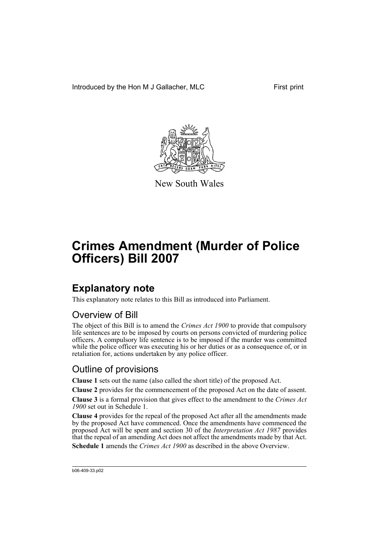Introduced by the Hon M J Gallacher, MLC First print



New South Wales

# **Crimes Amendment (Murder of Police Officers) Bill 2007**

## **Explanatory note**

This explanatory note relates to this Bill as introduced into Parliament.

### Overview of Bill

The object of this Bill is to amend the *Crimes Act 1900* to provide that compulsory life sentences are to be imposed by courts on persons convicted of murdering police officers. A compulsory life sentence is to be imposed if the murder was committed while the police officer was executing his or her duties or as a consequence of, or in retaliation for, actions undertaken by any police officer.

### Outline of provisions

**Clause 1** sets out the name (also called the short title) of the proposed Act.

**Clause 2** provides for the commencement of the proposed Act on the date of assent.

**Clause 3** is a formal provision that gives effect to the amendment to the *Crimes Act 1900* set out in Schedule 1.

**Clause 4** provides for the repeal of the proposed Act after all the amendments made by the proposed Act have commenced. Once the amendments have commenced the proposed Act will be spent and section 30 of the *Interpretation Act 1987* provides that the repeal of an amending Act does not affect the amendments made by that Act. **Schedule 1** amends the *Crimes Act 1900* as described in the above Overview.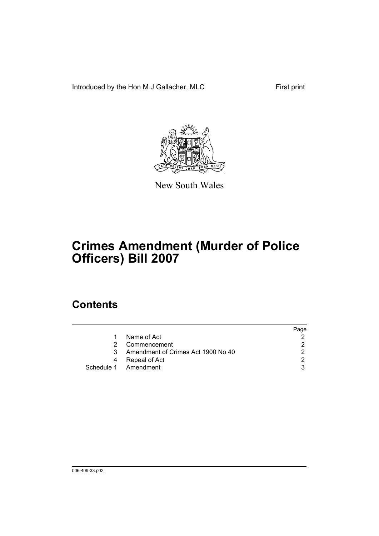Introduced by the Hon M J Gallacher, MLC First print



New South Wales

# **Crimes Amendment (Murder of Police Officers) Bill 2007**

## **Contents**

|    |                                    | Page |
|----|------------------------------------|------|
|    | Name of Act                        |      |
| 2. | Commencement                       |      |
| 3  | Amendment of Crimes Act 1900 No 40 | າ    |
| 4  | Repeal of Act                      | ◠    |
|    | Schedule 1 Amendment               |      |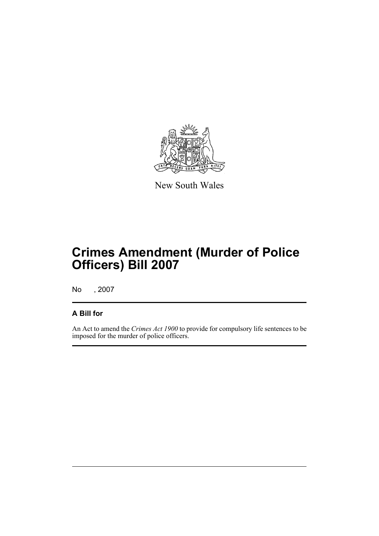

New South Wales

## **Crimes Amendment (Murder of Police Officers) Bill 2007**

No , 2007

#### **A Bill for**

An Act to amend the *Crimes Act 1900* to provide for compulsory life sentences to be imposed for the murder of police officers.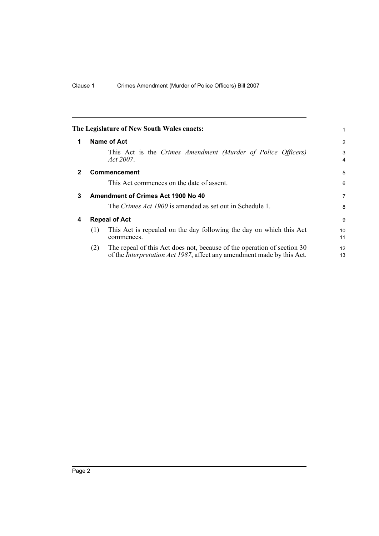|              |     | The Legislature of New South Wales enacts:                                                                                                                | 1                   |
|--------------|-----|-----------------------------------------------------------------------------------------------------------------------------------------------------------|---------------------|
| 1            |     | Name of Act                                                                                                                                               | $\overline{2}$      |
|              |     | This Act is the Crimes Amendment (Murder of Police Officers)<br>Act 2007.                                                                                 | 3<br>$\overline{4}$ |
| $\mathbf{2}$ |     | <b>Commencement</b>                                                                                                                                       | 5                   |
|              |     | This Act commences on the date of assent.                                                                                                                 | 6                   |
| 3            |     | Amendment of Crimes Act 1900 No 40                                                                                                                        | $\overline{7}$      |
|              |     | The Crimes Act 1900 is amended as set out in Schedule 1.                                                                                                  | 8                   |
| 4            |     | <b>Repeal of Act</b>                                                                                                                                      | 9                   |
|              | (1) | This Act is repealed on the day following the day on which this Act<br>commences.                                                                         | 10<br>11            |
|              | (2) | The repeal of this Act does not, because of the operation of section 30<br>of the <i>Interpretation Act 1987</i> , affect any amendment made by this Act. | 12<br>13            |
|              |     |                                                                                                                                                           |                     |